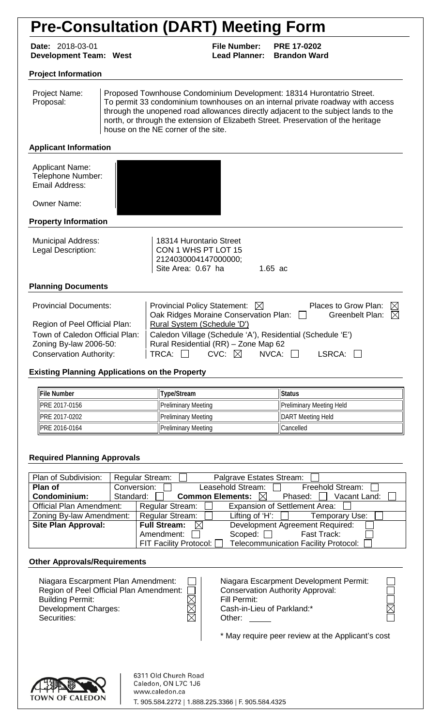# **Pre-Consultation (DART) Meeting Form**

**Date:** 2018-03-01 **File Number: PRE 17-0202 Development Team: West** 

#### **Project Information**

| Project Name:<br>Proposal: | Proposed Townhouse Condominium Development: 18314 Hurontatrio Street.<br>To permit 33 condominium townhouses on an internal private roadway with access<br>through the unopened road allowances directly adjacent to the subject lands to the<br>north, or through the extension of Elizabeth Street. Preservation of the heritage |
|----------------------------|------------------------------------------------------------------------------------------------------------------------------------------------------------------------------------------------------------------------------------------------------------------------------------------------------------------------------------|
|                            | house on the NE corner of the site.                                                                                                                                                                                                                                                                                                |

#### **Applicant Information**

| <b>Applicant Name:</b><br>Telephone Number:<br>Email Address: |  |
|---------------------------------------------------------------|--|
| <b>Owner Name:</b>                                            |  |

#### **Property Information**

| <b>Municipal Address:</b><br>Legal Description:                 | 18314 Hurontario Street<br>CON 1 WHS PT LOT 15<br>2124030004147000000;<br>Site Area: 0.67 ha<br>$1.65$ ac                                      |  |  |
|-----------------------------------------------------------------|------------------------------------------------------------------------------------------------------------------------------------------------|--|--|
| <b>Planning Documents</b>                                       |                                                                                                                                                |  |  |
| <b>Provincial Documents:</b>                                    | Provincial Policy Statement: $\boxtimes$<br>Places to Grow Plan:<br>IX<br>Greenbelt Plan: $\boxtimes$<br>Oak Ridges Moraine Conservation Plan: |  |  |
| Region of Peel Official Plan:<br>Town of Caledon Official Plan: | Rural System (Schedule 'D')<br>Caledon Village (Schedule 'A'), Residential (Schedule 'E')                                                      |  |  |

Conservation Authority:  $|\text{TRCA: } \Box$  CVC:  $\boxtimes$  NVCA:  $\Box$  LSRCA:  $\Box$ 

#### **Existing Planning Applications on the Property**

Zoning By-law 2006-50:  $\vert$  Rural Residential (RR) – Zone Map 62

| <b>IFile Number</b>   | Type/Stream         | <b>Status</b>            |
|-----------------------|---------------------|--------------------------|
| <b>IPRE 2017-0156</b> | Preliminary Meeting | Preliminary Meeting Held |
| <b>IPRE 2017-0202</b> | Preliminary Meeting | <b>DART</b> Meeting Held |
| <b>IPRE 2016-0164</b> | Preliminary Meeting | Cancelled                |

#### **Required Planning Approvals**

| Plan of Subdivision:                                                                       |                 | <b>Regular Stream:</b>                           | Palgrave Estates Stream:        |                                             |
|--------------------------------------------------------------------------------------------|-----------------|--------------------------------------------------|---------------------------------|---------------------------------------------|
| Plan of                                                                                    |                 | Conversion:                                      | Leasehold Stream: $\Box$        | Freehold Stream:                            |
| Condominium:                                                                               |                 | Common Elements: $\boxtimes$<br>Standard: $\Box$ |                                 | Vacant Land:<br>Phased: $\Box$              |
| <b>Expansion of Settlement Area:</b><br><b>Official Plan Amendment:</b><br>Regular Stream: |                 |                                                  |                                 |                                             |
| Zoning By-law Amendment:                                                                   | Regular Stream: |                                                  | Lifting of 'H': $\Box$          | Temporary Use:                              |
| <b>Site Plan Approval:</b>                                                                 |                 | Full Stream: $\boxtimes$                         | Development Agreement Required: |                                             |
|                                                                                            |                 | Amendment:                                       | Scoped: $\Box$                  | Fast Track:                                 |
|                                                                                            |                 | FIT Facility Protocol: $\Box$                    |                                 | <b>Telecommunication Facility Protocol:</b> |

#### **Other Approvals/Requirements**

| Niagara Escarpment Plan Amendment:<br>Region of Peel Official Plan Amendment: [<br><b>Building Permit:</b><br>Development Charges:<br>Securities: | M<br>$\boxtimes$<br>$\boxtimes$ | Niagara Escarpment Development Permit:<br><b>Conservation Authority Approval:</b><br>Fill Permit:<br>Cash-in-Lieu of Parkland:*<br>Other: | $\triangleright$ |
|---------------------------------------------------------------------------------------------------------------------------------------------------|---------------------------------|-------------------------------------------------------------------------------------------------------------------------------------------|------------------|
|                                                                                                                                                   |                                 | * May require peer review at the Applicant's cost                                                                                         |                  |

\* May require peer review at the Applicant's cost



6311 Old Church Road Caledon, ON L7C 1J6 www.caledon.ca T. 905.584.2272 | 1.888.225.3366 | F. 905.584.4325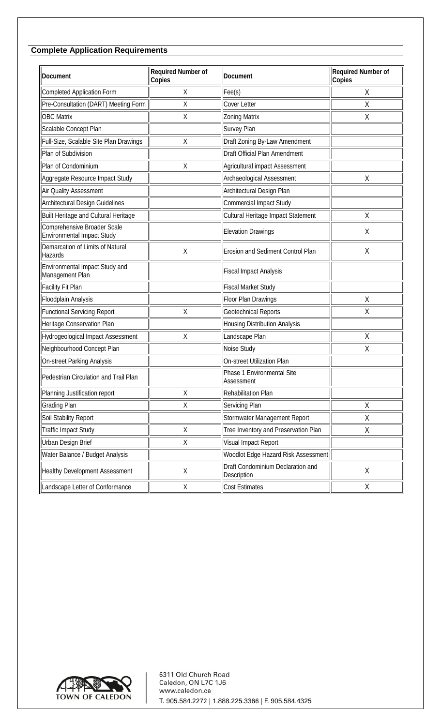## **Complete Application Requirements**

| Document                                                         | Required Number of<br>Copies | Document                                         | Required Number of<br>Copies |
|------------------------------------------------------------------|------------------------------|--------------------------------------------------|------------------------------|
| <b>Completed Application Form</b>                                | Χ                            | $\text{Free}(s)$                                 | Χ                            |
| Pre-Consultation (DART) Meeting Form                             | Χ                            | <b>Cover Letter</b>                              | Χ                            |
| <b>OBC Matrix</b>                                                | Χ                            | <b>Zoning Matrix</b>                             | Χ                            |
| Scalable Concept Plan                                            |                              | <b>Survey Plan</b>                               |                              |
| Full-Size, Scalable Site Plan Drawings                           | Χ                            | Draft Zoning By-Law Amendment                    |                              |
| Plan of Subdivision                                              |                              | Draft Official Plan Amendment                    |                              |
| Plan of Condominium                                              | Χ                            | Agricultural impact Assessment                   |                              |
| Aggregate Resource Impact Study                                  |                              | Archaeological Assessment                        | Χ                            |
| Air Quality Assessment                                           |                              | Architectural Design Plan                        |                              |
| <b>Architectural Design Guidelines</b>                           |                              | <b>Commercial Impact Study</b>                   |                              |
| Built Heritage and Cultural Heritage                             |                              | Cultural Heritage Impact Statement               | $\overline{X}$               |
| Comprehensive Broader Scale<br><b>Environmental Impact Study</b> |                              | Elevation Drawings                               | Χ                            |
| Demarcation of Limits of Natural<br>Hazards                      | Χ                            | Erosion and Sediment Control Plan                | Χ                            |
| Environmental Impact Study and<br>Management Plan                |                              | Fiscal Impact Analysis                           |                              |
| Facility Fit Plan                                                |                              | Fiscal Market Study                              |                              |
| Floodplain Analysis                                              |                              | Floor Plan Drawings                              | Χ                            |
| <b>Functional Servicing Report</b>                               | Χ                            | <b>Geotechnical Reports</b>                      | Χ                            |
| Heritage Conservation Plan                                       |                              | Housing Distribution Analysis                    |                              |
| Hydrogeological Impact Assessment                                | Χ                            | Landscape Plan                                   | Χ                            |
| Neighbourhood Concept Plan                                       |                              | Noise Study                                      | Χ                            |
| On-street Parking Analysis                                       |                              | <b>On-street Utilization Plan</b>                |                              |
| Pedestrian Circulation and Trail Plan                            |                              | Phase 1 Environmental Site<br>Assessment         |                              |
| Planning Justification report                                    | Χ                            | Rehabilitation Plan                              |                              |
| <b>Grading Plan</b>                                              | Χ                            | Servicing Plan                                   | Χ                            |
| Soil Stability Report                                            |                              | Stormwater Management Report                     | Χ                            |
| Traffic Impact Study                                             | Χ                            | Tree Inventory and Preservation Plan             | Χ                            |
| Urban Design Brief                                               | Χ                            | Visual Impact Report                             |                              |
| Water Balance / Budget Analysis                                  |                              | Woodlot Edge Hazard Risk Assessment              |                              |
| Healthy Development Assessment                                   | Χ                            | Draft Condominium Declaration and<br>Description | $\mathsf{X}% _{0}$           |
| Landscape Letter of Conformance                                  | Χ                            | <b>Cost Estimates</b>                            | Χ                            |

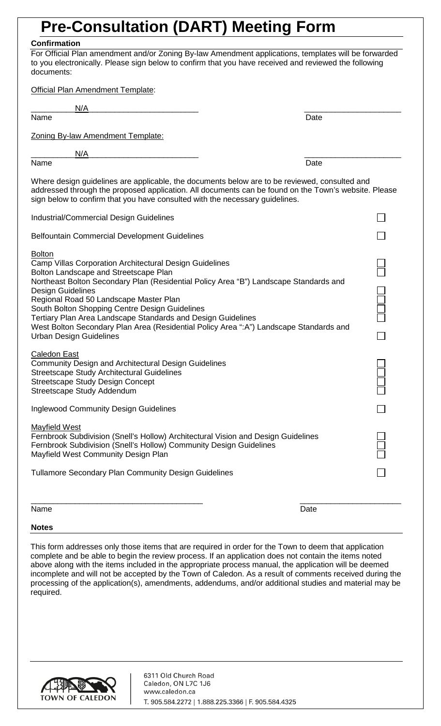## **Pre-Consultation (DART) Meeting Form**

### **Confirmation**

For Official Plan amendment and/or Zoning By-law Amendment applications, templates will be forwarded to you electronically. Please sign below to confirm that you have received and reviewed the following documents:

| <b>Official Plan Amendment Template:</b>                                                                                                                                                                                                                                                                                                                                                                                                                                                                                       |   |
|--------------------------------------------------------------------------------------------------------------------------------------------------------------------------------------------------------------------------------------------------------------------------------------------------------------------------------------------------------------------------------------------------------------------------------------------------------------------------------------------------------------------------------|---|
| N/A<br>Name<br>Date                                                                                                                                                                                                                                                                                                                                                                                                                                                                                                            |   |
| Zoning By-law Amendment Template:                                                                                                                                                                                                                                                                                                                                                                                                                                                                                              |   |
| N/A                                                                                                                                                                                                                                                                                                                                                                                                                                                                                                                            |   |
| Name<br>Date                                                                                                                                                                                                                                                                                                                                                                                                                                                                                                                   |   |
| Where design guidelines are applicable, the documents below are to be reviewed, consulted and<br>addressed through the proposed application. All documents can be found on the Town's website. Please<br>sign below to confirm that you have consulted with the necessary guidelines.                                                                                                                                                                                                                                          |   |
| <b>Industrial/Commercial Design Guidelines</b>                                                                                                                                                                                                                                                                                                                                                                                                                                                                                 |   |
| <b>Belfountain Commercial Development Guidelines</b>                                                                                                                                                                                                                                                                                                                                                                                                                                                                           |   |
| <b>Bolton</b><br>Camp Villas Corporation Architectural Design Guidelines<br>Bolton Landscape and Streetscape Plan<br>Northeast Bolton Secondary Plan (Residential Policy Area "B") Landscape Standards and<br><b>Design Guidelines</b><br>Regional Road 50 Landscape Master Plan<br>South Bolton Shopping Centre Design Guidelines<br>Tertiary Plan Area Landscape Standards and Design Guidelines<br>West Bolton Secondary Plan Area (Residential Policy Area ":A") Landscape Standards and<br><b>Urban Design Guidelines</b> | Ë |
| <b>Caledon East</b><br><b>Community Design and Architectural Design Guidelines</b><br><b>Streetscape Study Architectural Guidelines</b><br><b>Streetscape Study Design Concept</b><br>Streetscape Study Addendum                                                                                                                                                                                                                                                                                                               |   |
| <b>Inglewood Community Design Guidelines</b>                                                                                                                                                                                                                                                                                                                                                                                                                                                                                   |   |
| <b>Mayfield West</b><br>Fernbrook Subdivision (Snell's Hollow) Architectural Vision and Design Guidelines<br>Fernbrook Subdivision (Snell's Hollow) Community Design Guidelines<br>Mayfield West Community Design Plan                                                                                                                                                                                                                                                                                                         |   |
| <b>Tullamore Secondary Plan Community Design Guidelines</b>                                                                                                                                                                                                                                                                                                                                                                                                                                                                    |   |
| Name<br>Date                                                                                                                                                                                                                                                                                                                                                                                                                                                                                                                   |   |
| <b>Notes</b>                                                                                                                                                                                                                                                                                                                                                                                                                                                                                                                   |   |

This form addresses only those items that are required in order for the Town to deem that application complete and be able to begin the review process. If an application does not contain the items noted above along with the items included in the appropriate process manual, the application will be deemed incomplete and will not be accepted by the Town of Caledon. As a result of comments received during the processing of the application(s), amendments, addendums, and/or additional studies and material may be required.